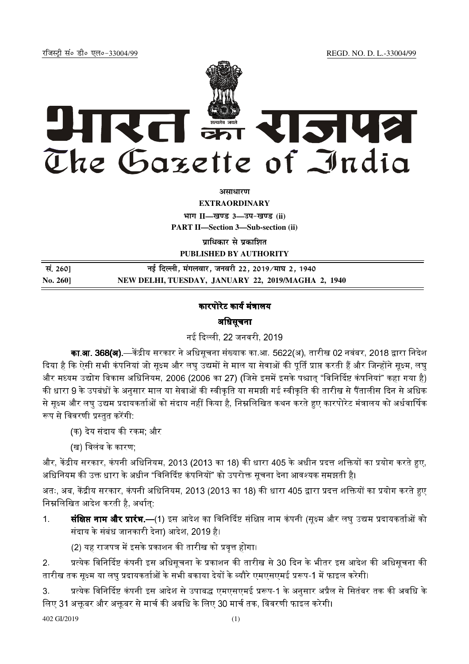REGD. NO. D. L.-33004/99

रजिस्टी सं० डी० एल०-33004/99



अमाधारण

**EXTRAORDINARY** भाग II-खण्ड 3-उप-खण्ड (ii) **PART II-Section 3-Sub-section (ii)** 

प्राधिकार से प्रकाशित **PUBLISHED BY AUTHORITY** 

| सं. 260] | नई दिल्ली, मंगलवार, जनवरी 22, 2019 ∕माघ 2, 1940    |
|----------|----------------------------------------------------|
| No. 260] | NEW DELHI, TUESDAY, JANUARY 22, 2019/MAGHA 2, 1940 |

# कारपोरेट कार्य मंत्रालय

### अधिसूचना

नई दिल्ली 22 जनवरी 2019

**का.आ. 368(अ).**—केंद्रीय सरकार ने अधिसूचना संख्याक का.आ. 5622(अ), तारीख 02 नवंबर, 2018 द्वारा निदेश दिया है कि ऐसी सभी कंपनियां जो सूक्ष्म और लघु उद्यमों से माल या सेवाओं की पूर्ति प्राप्त करती हैं और जिन्होंने सूक्ष्म, लघु और मध्यम उद्योग विकास अधिनियम, 2006 (2006 का 27) (जिसे इसमें इसके पश्चात "विनिर्दिष्ट कंपनियां" कहा गया है) की धारा 9 के उपबंधों के अनुसार माल या सेवाओं की स्वीकृति या समझी गई स्वीकृति की तारीख से पैंतालीस दिन से अधिक से सुक्ष्म और लघ उद्यम प्रदायकर्ताओं को संदाय नहीं किया है, निम्नलिखित कथन करते हुए कारपोरेट मंत्रालय को अर्धवार्षिक रूप से विवरणी प्रस्तुत करेंगी.

- (क) देय संदाय की रकम: और
- (ख) विलंब के कारण:

और, केंद्रीय सरकार, कंपनी अधिनियम, 2013 (2013 का 18) की धारा 405 के अधीन प्रदत्त शक्तियों का प्रयोग करते हुए, अधिनियम की उक्त धारा के अधीन "विनिर्दिष्ट कंपनियों" को उपरोक्त सूचना देना आवश्यक समझती है।

अतः, अब, केंद्रीय सरकार, कंपनी अधिनियम, 2013 (2013 का 18) की धारा 405 द्वारा प्रदत्त शक्तियों का प्रयोग करते हुए निम्नलिखित आदेश करती है. अर्थात:

**संक्षिप्त नाम और प्रारंभ.—(1)** इस आदेश का विनिर्दिष्ट संक्षिप्त नाम कंपनी (सूक्ष्म और लघु उद्यम प्रदायकर्ताओं को  $1<sup>1</sup>$ संदाय के संबंध जानकारी देना) आदेश, 2019 है।

(2) यह राजपत्र में इसके प्रकाशन की तारीख को प्रवृत्त होगा।

प्रत्येक विनिर्दिष्ट कंपनी इस अधिसूचना के प्रकाशन की तारीख से 30 दिन के भीतर इस आदेश की अधिसूचना की  $2<sub>1</sub>$ तारीख तक सक्ष्म या लघ प्रदायकर्ताओं के सभी बकाया देयों के ब्यौरे एमएसएमई प्ररूप-1 में फाइल करेगी।

प्रत्येक विनिर्दिष्ट कंपनी इस आदेश से उपाबद्ध एमएसएमई प्ररूप-1 के अनसार अप्रैल से सितंबर तक की अवधि के  $3<sup>1</sup>$ लिए 31 अक्तूबर और अक्तूबर से मार्च की अवधि के लिए 30 मार्च तक, विवरणी फाइल करेगी।

402 GI/2019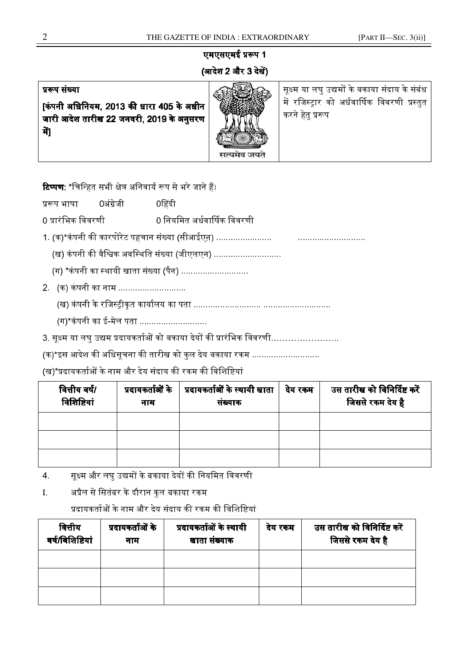# एमएसएमई प्ररूप 1 (आदेश 2 और 3 देखें)

### प्ररूप संख्या

किंपनी अधिनियम. 2013 की धारा 405 के अधीन जारी आदेश तारीख 22 जनवरी, 2019 के अनुसरण मैं।



सुक्ष्म या लघु उद्यमों के बकाया संदाय के संबंध में रजिस्टार को अर्धवार्षिक विवरणी प्रस्तत<sup>्</sup> करने हेतु प्ररूप

**टिप्पण:** \*चिन्हित सभी क्षेत्र अनिवार्य रूप से भरे जाने हैं।

प्ररूप भाषा  $\qquad$ 0अंग्रेजी  $\qquad$ 0हिंदी

0 प्रारंभिक विवरणी 0 नियमित अर्धवार्षिक विवरणी

1. (क)\*कं- 9 -/Q-)

-Pf ............................

(ख) कंपनी की वैश्विक अवस्थिति संख्या (जीएलएन) ............................

(ग) \*कंपनी का स्थायी खाता संख्या (पैन) ............................

2. (क) कंपनी का नाम ............................

! - .Hc I K -

(ग)\*कंपनी का ई-मेल पता ...........................

3. सूक्ष्म या लघु उद्यम प्रदायकर्ताओं को बकाया देयों की प्रारंभिक विवरणी……………………

(क)\*इस आदेश की अधिसूचना की तारीख को कुल देय बकाया रकम ...........................

(ख)\*प्रदायकर्ताओं के नाम और देय संदाय की रकम की विशिष्टियां

| वित्तीय वर्ष/<br>विशिष्टियां | नाम | प्रदायकर्ताओं के   प्रदायकर्ताओं के स्थायी खाता<br>संख्याक | देय रकम | उस तारीख को विनिर्दिष्ट करें<br>जिससे रकम देय है |
|------------------------------|-----|------------------------------------------------------------|---------|--------------------------------------------------|
|                              |     |                                                            |         |                                                  |
|                              |     |                                                            |         |                                                  |
|                              |     |                                                            |         |                                                  |

4. सूक्ष्म और लघु उद्यमों के बकाया देयों की नियमित विवरणी

I. अप्रैल से सितंबर के दौरान कुल बकाया रकम

प्रदायकर्ताओं के नाम और देय संदाय की रकम की विशिष्टियां

| वित्तीय<br>वर्ष/विशिष्टियां | प्रदायकर्ताओं के<br>नाम | प्रदायकर्ताओं के स्थायी<br>खाता संख्याक | देय रकम | उस तारीख को विनिर्दिष्ट करें<br>जिससे रकम देय है |
|-----------------------------|-------------------------|-----------------------------------------|---------|--------------------------------------------------|
|                             |                         |                                         |         |                                                  |
|                             |                         |                                         |         |                                                  |
|                             |                         |                                         |         |                                                  |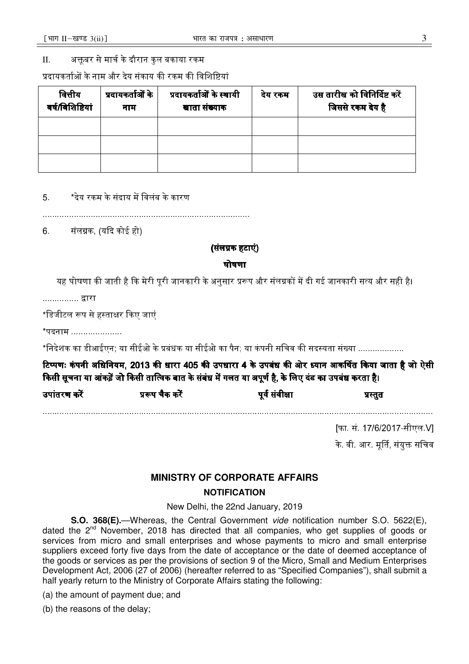#### अक्तबर से मार्च के दौरान कुल बकाया रकम  $\Pi$ .

प्रदायकर्ताओं के नाम और देय संकाय की रकम की विशिष्टियां

| वित्तीय<br>वर्ष/विशिष्टियां | प्रदायकर्ताओं के<br>नाम | प्रदायकर्ताओं के स्थायी<br>खाता संख्याक | देय रकम | उस तारीख को विनिर्दिष्ट करें<br>जिससे रकम देय है |
|-----------------------------|-------------------------|-----------------------------------------|---------|--------------------------------------------------|
|                             |                         |                                         |         |                                                  |
|                             |                         |                                         |         |                                                  |
|                             |                         |                                         |         |                                                  |

\*देय रकम के संदाय में विलंब के कारण  $5<sup>1</sup>$ 

6. संलग्नक, (यदि कोई हो)

(संलग्नक हटाएं)

#### घोषणा

यह घोषणा की जाती है कि मेरी परी जानकारी के अनुसार प्ररूप और संलग्नकों में दी गई जानकारी सत्य और सही है।

............... द्वारा

\*डिजीटल रूप से हस्ताक्षर किए जाएं

\*पदनाम ...................

\*निदेशक का डीआईएन; या सीईओ के प्रबंधक या सीईओ का पैन; या कंपनी सचिव की सदस्यता संख्या ...................

टिप्पणः कंपनी अधिनियम, 2013 की धारा 405 की उपधारा 4 के उपबंध की ओर ध्यान आकर्षित किया जाता है जो ऐसी किसी सूचना या आंकड़ें जो किसी तात्विक बात के संबंध में गलत या अपूर्ण है, के लिए दंड का उपबंध करता है।

| उपांतरण करें | प्ररूप चैक करें | पूर्व संवीक्षा | प्रस्तुत |  |
|--------------|-----------------|----------------|----------|--|
|              |                 |                |          |  |

[फा. सं. 17/6/2017-सीएल V] के वी आर मर्ति संयक्त सचिव

## **MINISTRY OF CORPORATE AFFAIRS NOTIFICATION**

New Delhi, the 22nd January, 2019

S.O. 368(E).-Whereas, the Central Government vide notification number S.O. 5622(E), dated the 2<sup>nd</sup> November, 2018 has directed that all companies, who get supplies of goods or services from micro and small enterprises and whose payments to micro and small enterprise suppliers exceed forty five days from the date of acceptance or the date of deemed acceptance of the goods or services as per the provisions of section 9 of the Micro, Small and Medium Enterprises Development Act, 2006 (27 of 2006) (hereafter referred to as "Specified Companies"), shall submit a half yearly return to the Ministry of Corporate Affairs stating the following:

(a) the amount of payment due; and

(b) the reasons of the delay;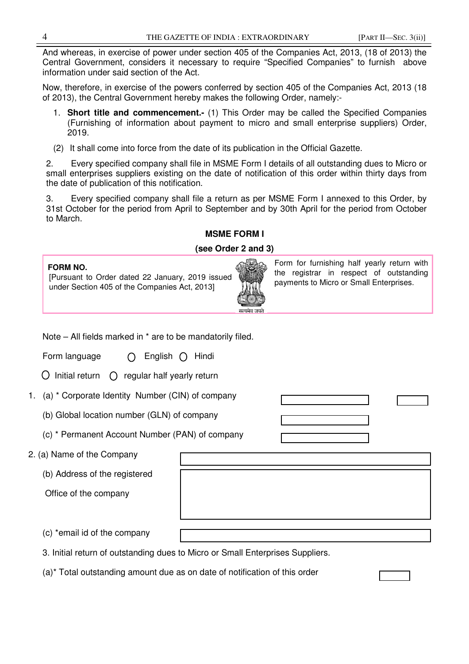And whereas, in exercise of power under section 405 of the Companies Act, 2013, (18 of 2013) the Central Government, considers it necessary to require "Specified Companies" to furnish above information under said section of the Act.

Now, therefore, in exercise of the powers conferred by section 405 of the Companies Act, 2013 (18 of 2013), the Central Government hereby makes the following Order, namely:-

- 1. **Short title and commencement.-** (1) This Order may be called the Specified Companies (Furnishing of information about payment to micro and small enterprise suppliers) Order, 2019.
- (2) It shall come into force from the date of its publication in the Official Gazette.

2. Every specified company shall file in MSME Form I details of all outstanding dues to Micro or small enterprises suppliers existing on the date of notification of this order within thirty days from the date of publication of this notification.

3. Every specified company shall file a return as per MSME Form I annexed to this Order, by 31st October for the period from April to September and by 30th April for the period from October to March.

#### **MSME FORM I**

#### **(see Order 2 and 3)**

| <b>FORM NO.</b><br>[Pursuant to Order dated 22 January, 2019 issued<br>under Section 405 of the Companies Act, 2013] | सत्यमेव जयते | Form for furnishing half yearly return with<br>the registrar in respect of outstanding<br>payments to Micro or Small Enterprises. |
|----------------------------------------------------------------------------------------------------------------------|--------------|-----------------------------------------------------------------------------------------------------------------------------------|
|                                                                                                                      |              |                                                                                                                                   |

Note – All fields marked in \* are to be mandatorily filed.

Form language  $\bigcap$  English  $\bigcap$  Hindi

 $\bigcirc$  Initial return  $\bigcirc$  regular half yearly return

- 1. (a) \* Corporate Identity Number (CIN) of company
	- (b) Global location number (GLN) of company

(c) \* Permanent Account Number (PAN) of company

- 2. (a) Name of the Company
	- (b) Address of the registered

Office of the company

(c) \*email id of the company

3. Initial return of outstanding dues to Micro or Small Enterprises Suppliers.

(a)\* Total outstanding amount due as on date of notification of this order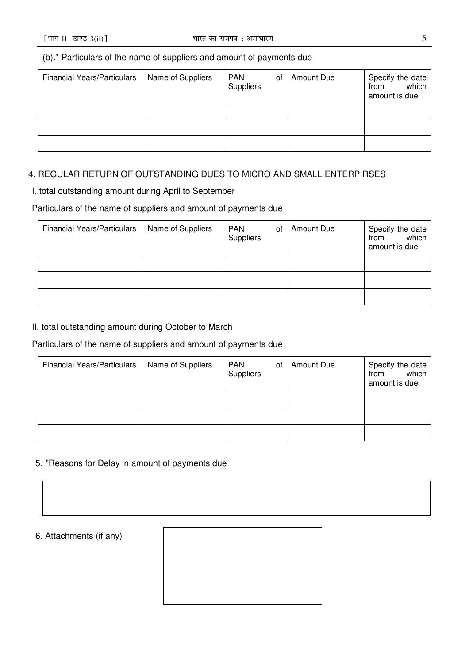#### (b).\* Particulars of the name of suppliers and amount of payments due

| <b>Financial Years/Particulars</b> | Name of Suppliers | <b>PAN</b><br>of<br>Suppliers | Amount Due | Specify the date<br>which<br>from<br>amount is due |
|------------------------------------|-------------------|-------------------------------|------------|----------------------------------------------------|
|                                    |                   |                               |            |                                                    |
|                                    |                   |                               |            |                                                    |
|                                    |                   |                               |            |                                                    |

#### 4. REGULAR RETURN OF OUTSTANDING DUES TO MICRO AND SMALL ENTERPIRSES

I. total outstanding amount during April to September

#### Particulars of the name of suppliers and amount of payments due

| <b>Financial Years/Particulars</b> | Name of Suppliers | <b>PAN</b><br>οf<br>Suppliers | Amount Due | Specify the date<br>from which<br>amount is due |
|------------------------------------|-------------------|-------------------------------|------------|-------------------------------------------------|
|                                    |                   |                               |            |                                                 |
|                                    |                   |                               |            |                                                 |
|                                    |                   |                               |            |                                                 |

### II. total outstanding amount during October to March

#### Particulars of the name of suppliers and amount of payments due

| <b>Financial Years/Particulars</b> | Name of Suppliers | <b>PAN</b><br>οf<br>Suppliers | Amount Due | Specify the date<br>which<br>from<br>amount is due |
|------------------------------------|-------------------|-------------------------------|------------|----------------------------------------------------|
|                                    |                   |                               |            |                                                    |
|                                    |                   |                               |            |                                                    |
|                                    |                   |                               |            |                                                    |

#### 5. \*Reasons for Delay in amount of payments due

#### 6. Attachments (if any)